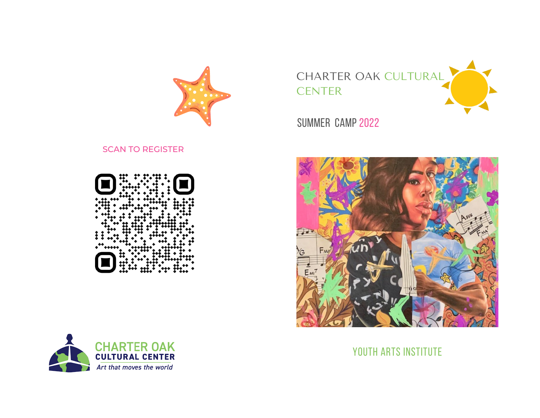

## SCAN TO REGISTER





CHARTER OAK CULTURAL **CENTER** 

SUMMER CAMP 2022



## YOUTH ARTS INSTITUTE